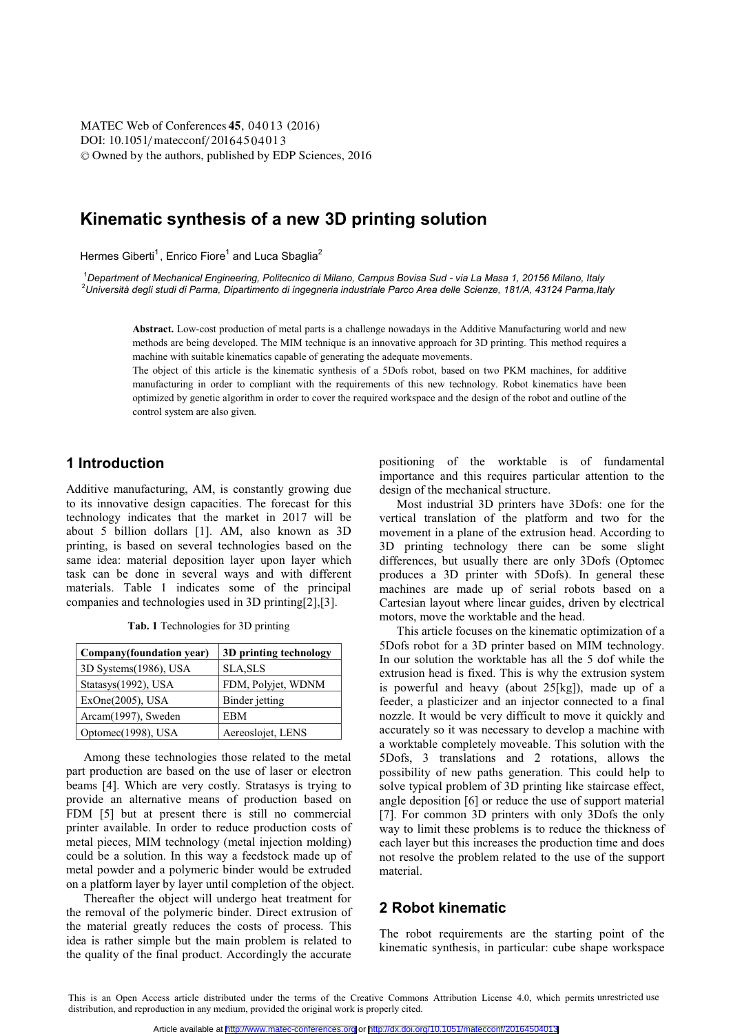[DOI: 10.1051](http://dx.doi.org/10.1051/matecconf/20164504013)/matecconf/20164504013 © Owned by the authors, published by [EDP Sciences,](http://www.edpsciences.org) 2016 MATEC [Web of Conferences](http://www.matec-conferences.org) 45, 04013 (2016)

# **Kinematic synthesis of a new 3D printing solution**

Hermes Giberti<sup>1</sup>, Enrico Fiore<sup>1</sup> and Luca Sbaglia<sup>2</sup>

<sup>1</sup>Department of Mechanical Engineering, Politecnico di Milano, Campus Bovisa Sud - via La Masa 1, 20156 Milano, Italy <sup>2</sup>Università degli studi di Parma, Dipartimento di ingegneria industriale Parco Area delle Scienze, 181/A, 43124 Parma, Italy

**Abstract.** Low-cost production of metal parts is a challenge nowadays in the Additive Manufacturing world and new methods are being developed. The MIM technique is an innovative approach for 3D printing. This method requires a machine with suitable kinematics capable of generating the adequate movements.

The object of this article is the kinematic synthesis of a 5Dofs robot, based on two PKM machines, for additive manufacturing in order to compliant with the requirements of this new technology. Robot kinematics have been optimized by genetic algorithm in order to cover the required workspace and the design of the robot and outline of the control system are also given.

# **1 Introduction**

Additive manufacturing, AM, is constantly growing due to its innovative design capacities. The forecast for this technology indicates that the market in 2017 will be about 5 billion dollars [1]. AM, also known as 3D printing, is based on several technologies based on the same idea: material deposition layer upon layer which task can be done in several ways and with different materials. Table 1 indicates some of the principal companies and technologies used in 3D printing[2],[3].

|  |  |  | Tab. 1 Technologies for 3D printing |  |
|--|--|--|-------------------------------------|--|
|  |  |  |                                     |  |

| Company(foundation year) | 3D printing technology |  |  |
|--------------------------|------------------------|--|--|
| 3D Systems(1986), USA    | <b>SLA, SLS</b>        |  |  |
| Statasys(1992), USA      | FDM, Polyjet, WDNM     |  |  |
| $ExOne(2005)$ , USA      | Binder jetting         |  |  |
| Arcam(1997), Sweden      | <b>EBM</b>             |  |  |
| Optomec(1998), USA       | Aereoslojet, LENS      |  |  |

Among these technologies those related to the metal part production are based on the use of laser or electron beams [4]. Which are very costly. Stratasys is trying to provide an alternative means of production based on FDM [5] but at present there is still no commercial printer available. In order to reduce production costs of metal pieces, MIM technology (metal injection molding) could be a solution. In this way a feedstock made up of metal powder and a polymeric binder would be extruded on a platform layer by layer until completion of the object.

Thereafter the object will undergo heat treatment for the removal of the polymeric binder. Direct extrusion of the material greatly reduces the costs of process. This idea is rather simple but the main problem is related to the quality of the final product. Accordingly the accurate

positioning of the worktable is of fundamental importance and this requires particular attention to the design of the mechanical structure.

Most industrial 3D printers have 3Dofs: one for the vertical translation of the platform and two for the movement in a plane of the extrusion head. According to 3D printing technology there can be some slight differences, but usually there are only 3Dofs (Optomec produces a 3D printer with 5Dofs). In general these machines are made up of serial robots based on a Cartesian layout where linear guides, driven by electrical motors, move the worktable and the head.

This article focuses on the kinematic optimization of a 5Dofs robot for a 3D printer based on MIM technology. In our solution the worktable has all the 5 dof while the extrusion head is fixed. This is why the extrusion system is powerful and heavy (about 25[kg]), made up of a feeder, a plasticizer and an injector connected to a final nozzle. It would be very difficult to move it quickly and accurately so it was necessary to develop a machine with a worktable completely moveable. This solution with the 5Dofs, 3 translations and 2 rotations, allows the possibility of new paths generation. This could help to solve typical problem of 3D printing like staircase effect, angle deposition [6] or reduce the use of support material [7]. For common 3D printers with only 3Dofs the only way to limit these problems is to reduce the thickness of each layer but this increases the production time and does not resolve the problem related to the use of the support material.

# **2 Robot kinematic**

The robot requirements are the starting point of the kinematic synthesis, in particular: cube shape workspace

This is an Open Access article distributed under the terms of the [Creative Commons Attribution License 4.0](http://creativecommons.org/licenses/by/4.0), which permits unrestricted use distribution, and reproduction in any medium, provided the original work is properly cited.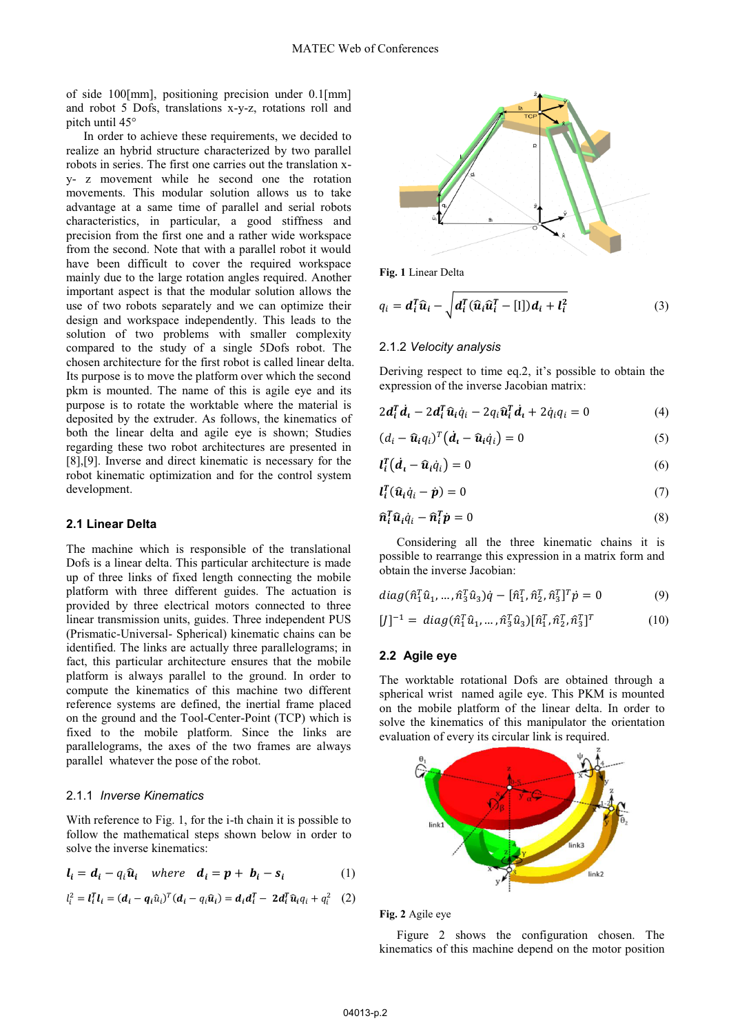of side 100[mm], positioning precision under 0.1[mm] and robot 5 Dofs, translations x-y-z, rotations roll and pitch until 45°

In order to achieve these requirements, we decided to realize an hybrid structure characterized by two parallel robots in series. The first one carries out the translation xy- z movement while he second one the rotation movements. This modular solution allows us to take advantage at a same time of parallel and serial robots characteristics, in particular, a good stiffness and precision from the first one and a rather wide workspace from the second. Note that with a parallel robot it would have been difficult to cover the required workspace mainly due to the large rotation angles required. Another important aspect is that the modular solution allows the use of two robots separately and we can optimize their design and workspace independently. This leads to the solution of two problems with smaller complexity compared to the study of a single 5Dofs robot. The chosen architecture for the first robot is called linear delta. Its purpose is to move the platform over which the second pkm is mounted. The name of this is agile eye and its purpose is to rotate the worktable where the material is deposited by the extruder. As follows, the kinematics of both the linear delta and agile eye is shown; Studies regarding these two robot architectures are presented in [8],[9]. Inverse and direct kinematic is necessary for the robot kinematic optimization and for the control system development.

### **2.1 Linear Delta**

The machine which is responsible of the translational Dofs is a linear delta. This particular architecture is made up of three links of fixed length connecting the mobile platform with three different guides. The actuation is provided by three electrical motors connected to three linear transmission units, guides. Three independent PUS (Prismatic-Universal- Spherical) kinematic chains can be identified. The links are actually three parallelograms; in fact, this particular architecture ensures that the mobile platform is always parallel to the ground. In order to compute the kinematics of this machine two different reference systems are defined, the inertial frame placed on the ground and the Tool-Center-Point (TCP) which is fixed to the mobile platform. Since the links are parallelograms, the axes of the two frames are always parallel whatever the pose of the robot.

#### 2.1.1 *Inverse Kinematics*

With reference to Fig. 1, for the i-th chain it is possible to follow the mathematical steps shown below in order to solve the inverse kinematics:

$$
l_i = d_i - q_i \hat{u}_i \quad where \quad d_i = p + b_i - s_i \tag{1}
$$

$$
l_i^2 = \mathbf{l}_i^T \mathbf{l}_i = (\mathbf{d}_i - \mathbf{q}_i \hat{u}_i)^T (\mathbf{d}_i - q_i \hat{\mathbf{u}}_i) = \mathbf{d}_i \mathbf{d}_i^T - 2 \mathbf{d}_i^T \hat{\mathbf{u}}_i q_i + q_i^2 \quad (2)
$$



**Fig. 1** Linear Delta

$$
q_i = \mathbf{d}_i^T \widehat{\mathbf{u}}_i - \sqrt{\mathbf{d}_i^T (\widehat{\mathbf{u}}_i \widehat{\mathbf{u}}_i^T - [1]) \mathbf{d}_i + \mathbf{l}_i^2}
$$
(3)

#### 2.1.2 *Velocity analysis*

Deriving respect to time eq.2, it's possible to obtain the expression of the inverse Jacobian matrix:

$$
2\mathbf{d}_i^T \dot{\mathbf{d}}_i - 2\mathbf{d}_i^T \hat{\mathbf{u}}_i \dot{q}_i - 2q_i \hat{\mathbf{u}}_i^T \dot{\mathbf{d}}_i + 2\dot{q}_i q_i = 0 \tag{4}
$$

$$
(d_i - \widehat{\mathbf{u}}_i q_i)^T (\dot{\mathbf{d}}_i - \widehat{\mathbf{u}}_i \dot{q}_i) = 0 \tag{5}
$$

$$
l_i^T (d_i - \widehat{u}_i \dot{q}_i) = 0 \tag{6}
$$

$$
l_i^T(\hat{u}_i \dot{q}_i - \dot{p}) = 0 \tag{7}
$$

$$
\widehat{\boldsymbol{n}}_i^T \widehat{\boldsymbol{u}}_i \dot{q}_i - \widehat{\boldsymbol{n}}_i^T \dot{\boldsymbol{p}} = 0 \tag{8}
$$

Considering all the three kinematic chains it is possible to rearrange this expression in a matrix form and obtain the inverse Jacobian:

$$
diag(\hat{n}_1^T\hat{u}_1, ..., \hat{n}_3^T\hat{u}_3)\dot{q} - [\hat{n}_1^T, \hat{n}_2^T, \hat{n}_3^T]^T\dot{p} = 0 \qquad (9)
$$

$$
[J]^{-1} = diag(\hat{n}_1^T \hat{u}_1, ..., \hat{n}_3^T \hat{u}_3) [\hat{n}_1^T, \hat{n}_2^T, \hat{n}_3^T]^T
$$
(10)

### **2.2 Agile eye**

The worktable rotational Dofs are obtained through a spherical wrist named agile eye. This PKM is mounted on the mobile platform of the linear delta. In order to solve the kinematics of this manipulator the orientation evaluation of every its circular link is required.



#### **Fig. 2** Agile eye

Figure 2 shows the configuration chosen. The kinematics of this machine depend on the motor position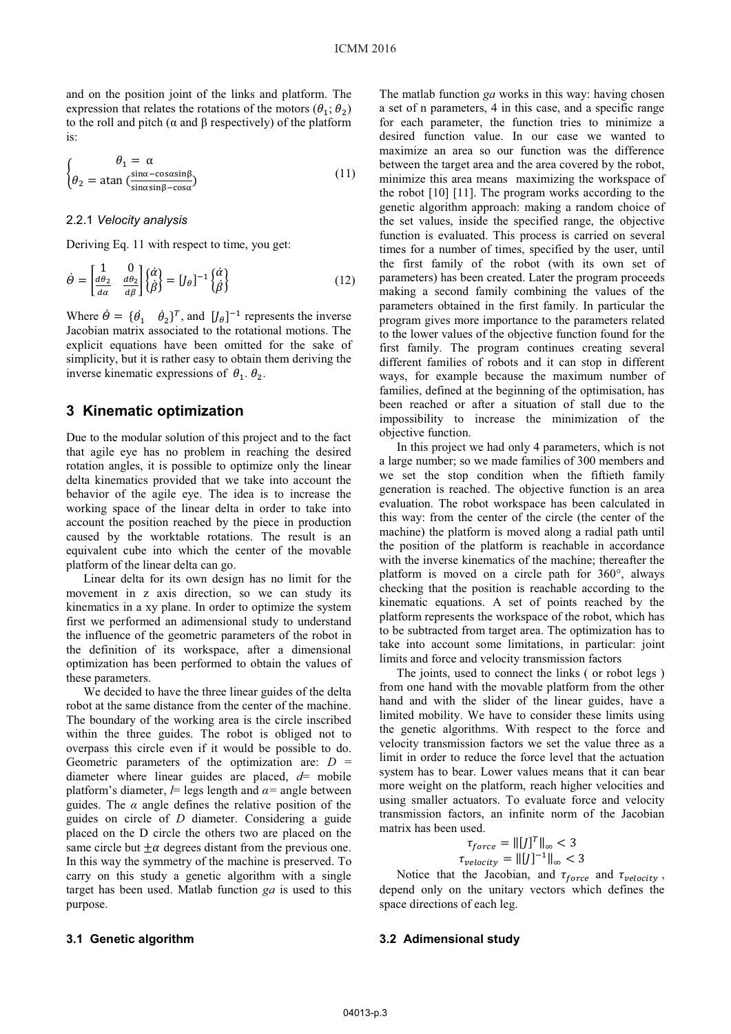and on the position joint of the links and platform. The expression that relates the rotations of the motors ( $\theta_1$ ;  $\theta_2$ ) to the roll and pitch (α and β respectively) of the platform is:

$$
\begin{cases}\n\theta_1 = \alpha \\
\theta_2 = \text{atan} \left( \frac{\sin \alpha - \cos \alpha \sin \beta}{\sin \alpha \sin \beta - \cos \alpha} \right)\n\end{cases}
$$
\n(11)

### 2.2.1 *Velocity analysis*

Deriving Eq. 11 with respect to time, you get:

$$
\dot{\Theta} = \begin{bmatrix} 1 & 0 \\ \frac{d\theta_2}{d\alpha} & \frac{d\theta_2}{d\beta} \end{bmatrix} \begin{Bmatrix} \dot{\alpha} \\ \dot{\beta} \end{Bmatrix} = [J_\theta]^{-1} \begin{Bmatrix} \dot{\alpha} \\ \dot{\beta} \end{Bmatrix}
$$
(12)

Where  $\dot{\theta} = {\dot{\theta}_1} \quad \dot{\theta}_2^T$ , and  $[J_\theta]^{-1}$  represents the inverse Jacobian matrix associated to the rotational motions. The explicit equations have been omitted for the sake of simplicity, but it is rather easy to obtain them deriving the inverse kinematic expressions of  $\theta_1$ .  $\theta_2$ .

## **3 Kinematic optimization**

Due to the modular solution of this project and to the fact that agile eye has no problem in reaching the desired rotation angles, it is possible to optimize only the linear delta kinematics provided that we take into account the behavior of the agile eye. The idea is to increase the working space of the linear delta in order to take into account the position reached by the piece in production caused by the worktable rotations. The result is an equivalent cube into which the center of the movable platform of the linear delta can go.

Linear delta for its own design has no limit for the movement in z axis direction, so we can study its kinematics in a xy plane. In order to optimize the system first we performed an adimensional study to understand the influence of the geometric parameters of the robot in the definition of its workspace, after a dimensional optimization has been performed to obtain the values of these parameters.

We decided to have the three linear guides of the delta robot at the same distance from the center of the machine. The boundary of the working area is the circle inscribed within the three guides. The robot is obliged not to overpass this circle even if it would be possible to do. Geometric parameters of the optimization are: *D* = diameter where linear guides are placed, *d*= mobile platform's diameter,  $l$ = legs length and  $\alpha$ = angle between guides. The  $\alpha$  angle defines the relative position of the guides on circle of *D* diameter. Considering a guide placed on the D circle the others two are placed on the same circle but  $\pm \alpha$  degrees distant from the previous one. In this way the symmetry of the machine is preserved. To carry on this study a genetic algorithm with a single target has been used. Matlab function *ga* is used to this purpose.

The matlab function *ga* works in this way: having chosen a set of n parameters, 4 in this case, and a specific range for each parameter, the function tries to minimize a desired function value. In our case we wanted to maximize an area so our function was the difference between the target area and the area covered by the robot, minimize this area means maximizing the workspace of the robot [10] [11]. The program works according to the genetic algorithm approach: making a random choice of the set values, inside the specified range, the objective function is evaluated. This process is carried on several times for a number of times, specified by the user, until the first family of the robot (with its own set of parameters) has been created. Later the program proceeds making a second family combining the values of the parameters obtained in the first family. In particular the program gives more importance to the parameters related to the lower values of the objective function found for the first family. The program continues creating several different families of robots and it can stop in different ways, for example because the maximum number of families, defined at the beginning of the optimisation, has been reached or after a situation of stall due to the impossibility to increase the minimization of the objective function.

In this project we had only 4 parameters, which is not a large number; so we made families of 300 members and we set the stop condition when the fiftieth family generation is reached. The objective function is an area evaluation. The robot workspace has been calculated in this way: from the center of the circle (the center of the machine) the platform is moved along a radial path until the position of the platform is reachable in accordance with the inverse kinematics of the machine; thereafter the platform is moved on a circle path for 360°, always checking that the position is reachable according to the kinematic equations. A set of points reached by the platform represents the workspace of the robot, which has to be subtracted from target area. The optimization has to take into account some limitations, in particular: joint limits and force and velocity transmission factors

The joints, used to connect the links ( or robot legs ) from one hand with the movable platform from the other hand and with the slider of the linear guides, have a limited mobility. We have to consider these limits using the genetic algorithms. With respect to the force and velocity transmission factors we set the value three as a limit in order to reduce the force level that the actuation system has to bear. Lower values means that it can bear more weight on the platform, reach higher velocities and using smaller actuators. To evaluate force and velocity transmission factors, an infinite norm of the Jacobian matrix has been used.

$$
\tau_{force} = ||[j]^T||_{\infty} < 3
$$
\n
$$
\tau_{velocity} = ||[j]^{-1}||_{\infty} < 3
$$

Notice that the Jacobian, and  $\tau_{force}$  and  $\tau_{velocity}$ , depend only on the unitary vectors which defines the space directions of each leg.

### **3.2 Adimensional study**

## **3.1 Genetic algorithm**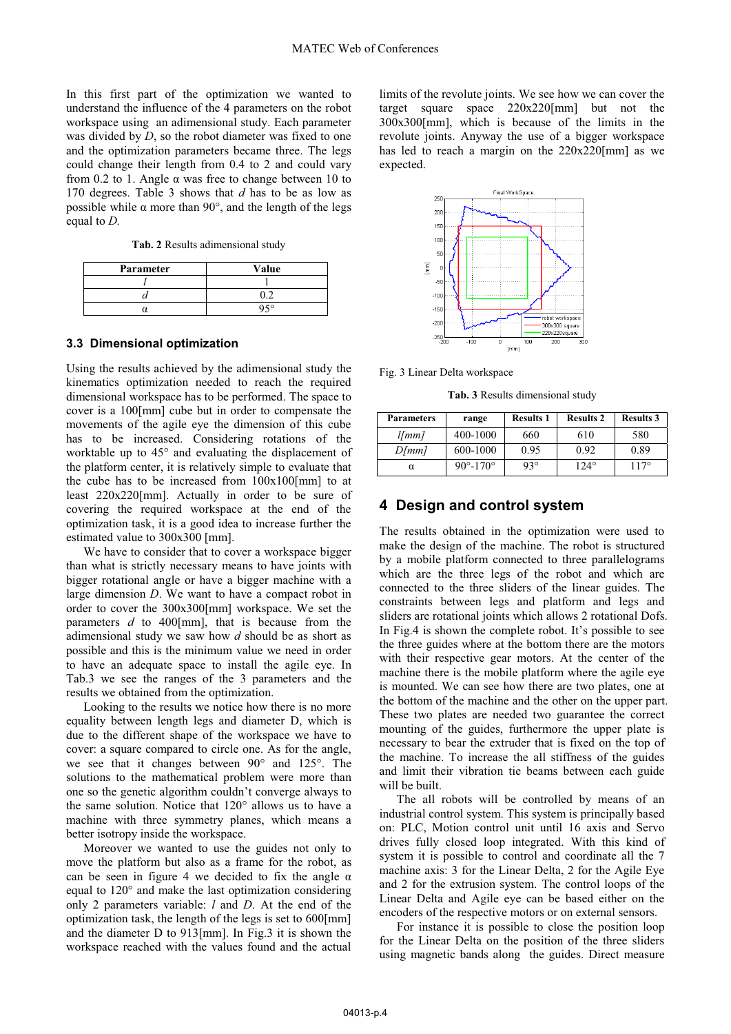In this first part of the optimization we wanted to understand the influence of the 4 parameters on the robot workspace using an adimensional study. Each parameter was divided by *D*, so the robot diameter was fixed to one and the optimization parameters became three. The legs could change their length from 0.4 to 2 and could vary from 0.2 to 1. Angle  $\alpha$  was free to change between 10 to 170 degrees. Table 3 shows that *d* has to be as low as possible while  $\alpha$  more than 90°, and the length of the legs equal to *D.*

**Tab. 2** Results adimensional study

| Parameter | Value      |  |  |
|-----------|------------|--|--|
|           |            |  |  |
|           |            |  |  |
|           | <b>050</b> |  |  |

#### **3.3 Dimensional optimization**

Using the results achieved by the adimensional study the kinematics optimization needed to reach the required dimensional workspace has to be performed. The space to cover is a 100[mm] cube but in order to compensate the movements of the agile eye the dimension of this cube has to be increased. Considering rotations of the worktable up to 45° and evaluating the displacement of the platform center, it is relatively simple to evaluate that the cube has to be increased from  $100x100$ [mm] to at least 220x220[mm]. Actually in order to be sure of covering the required workspace at the end of the optimization task, it is a good idea to increase further the estimated value to 300x300 [mm].

We have to consider that to cover a workspace bigger than what is strictly necessary means to have joints with bigger rotational angle or have a bigger machine with a large dimension *D*. We want to have a compact robot in order to cover the 300x300[mm] workspace. We set the parameters *d* to 400[mm], that is because from the adimensional study we saw how *d* should be as short as possible and this is the minimum value we need in order to have an adequate space to install the agile eye. In Tab.3 we see the ranges of the 3 parameters and the results we obtained from the optimization.

Looking to the results we notice how there is no more equality between length legs and diameter D, which is due to the different shape of the workspace we have to cover: a square compared to circle one. As for the angle, we see that it changes between 90° and 125°. The solutions to the mathematical problem were more than one so the genetic algorithm couldn't converge always to the same solution. Notice that 120° allows us to have a machine with three symmetry planes, which means a better isotropy inside the workspace.

Moreover we wanted to use the guides not only to move the platform but also as a frame for the robot, as can be seen in figure 4 we decided to fix the angle  $\alpha$ equal to 120° and make the last optimization considering only 2 parameters variable: *l* and *D*. At the end of the optimization task, the length of the legs is set to 600[mm] and the diameter D to 913[mm]. In Fig.3 it is shown the workspace reached with the values found and the actual

limits of the revolute joints. We see how we can cover the target square space 220x220[mm] but not the 300x300[mm], which is because of the limits in the revolute joints. Anyway the use of a bigger workspace has led to reach a margin on the 220x220[mm] as we expected.



Fig. 3 Linear Delta workspace

**Tab. 3** Results dimensional study

| <b>Parameters</b> | range                      | <b>Results 1</b> | <b>Results 2</b> | <b>Results 3</b> |
|-------------------|----------------------------|------------------|------------------|------------------|
| $l/mm$ ]          | 400-1000                   | 660              | 610              | 580              |
| D/mm              | 600-1000                   | 0.95             | 0.92             | 0.89             |
| $\alpha$          | $90^{\circ} - 170^{\circ}$ | $93^\circ$       | $12.4^\circ$     | $117^{\circ}$    |

# **4 Design and control system**

The results obtained in the optimization were used to make the design of the machine. The robot is structured by a mobile platform connected to three parallelograms which are the three legs of the robot and which are connected to the three sliders of the linear guides. The constraints between legs and platform and legs and sliders are rotational joints which allows 2 rotational Dofs. In Fig.4 is shown the complete robot. It's possible to see the three guides where at the bottom there are the motors with their respective gear motors. At the center of the machine there is the mobile platform where the agile eye is mounted. We can see how there are two plates, one at the bottom of the machine and the other on the upper part. These two plates are needed two guarantee the correct mounting of the guides, furthermore the upper plate is necessary to bear the extruder that is fixed on the top of the machine. To increase the all stiffness of the guides and limit their vibration tie beams between each guide will be built.

The all robots will be controlled by means of an industrial control system. This system is principally based on: PLC, Motion control unit until 16 axis and Servo drives fully closed loop integrated. With this kind of system it is possible to control and coordinate all the 7 machine axis: 3 for the Linear Delta, 2 for the Agile Eye and 2 for the extrusion system. The control loops of the Linear Delta and Agile eye can be based either on the encoders of the respective motors or on external sensors.

For instance it is possible to close the position loop for the Linear Delta on the position of the three sliders using magnetic bands along the guides. Direct measure